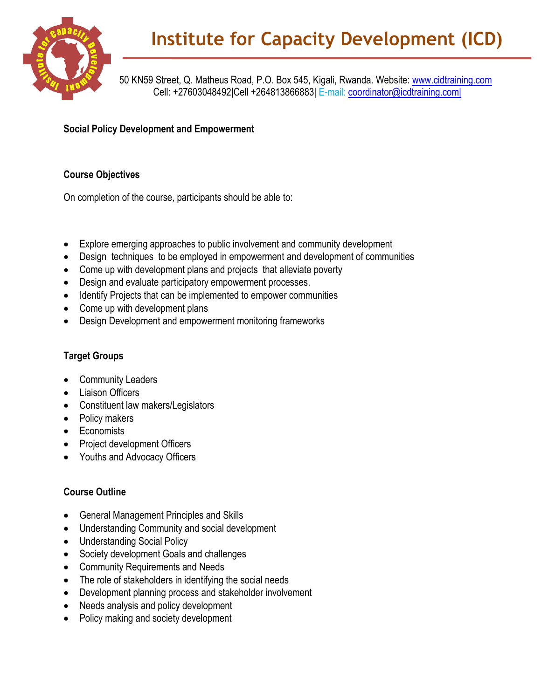

50 KN59 Street, Q. Matheus Road, P.O. Box 545, Kigali, Rwanda. Website: www.cidtraining.com Cell: +27603048492|Cell +264813866883| E-mail: coordinator@icdtraining.com|

**Social Policy Development and Empowerment**

## **Course Objectives**

On completion of the course, participants should be able to:

- Explore emerging approaches to public involvement and community development
- Design techniques to be employed in empowerment and development of communities
- Come up with development plans and projects that alleviate poverty
- Design and evaluate participatory empowerment processes.
- Identify Projects that can be implemented to empower communities
- Come up with development plans
- Design Development and empowerment monitoring frameworks

## **Target Groups**

- Community Leaders
- Liaison Officers
- Constituent law makers/Legislators
- Policy makers
- Economists
- Project development Officers
- Youths and Advocacy Officers

## **Course Outline**

- General Management Principles and Skills
- Understanding Community and social development
- Understanding Social Policy
- Society development Goals and challenges
- Community Requirements and Needs
- The role of stakeholders in identifying the social needs
- Development planning process and stakeholder involvement
- Needs analysis and policy development
- Policy making and society development